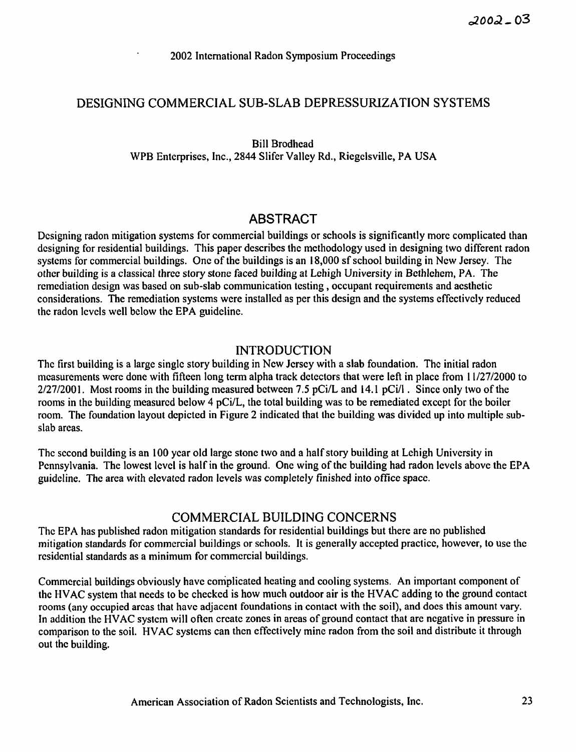## DESIGNING COMMERCIAL SUB-SLAB DEPRESSURIZATION SYSTEMS

Bill Brodhead WPB Enterprises, Inc., 2844 Slifer Valley Rd., Riegclsville, PA USA

# **ABSTRACT**

Designing radon mitigation systems for commercial buildings or schools is significantly more complicated than designing for residential buildings. This paper describes the methodology used in designing two different radon systems for commercial buildings. One of the buildings is an 18,000 sf school building in New Jersey. The other building is a classical three story stone faced building at Lehigh University in Bethlehem, PA. The remediation design was based on sub-slab communication testing, occupant requirements and aesthetic considerations. The remediation systems were installed as per this design and the systems effectively reduced the radon levels well below the EPA guideline.

## INTRODUCTION

The first building is a large single story building in New Jersey with a slab foundation. The initial radon measurements were done with fifteen long term alpha track detectors that were left in place from 1 1/27/2000 to  $2/27/2001$ . Most rooms in the building measured between 7.5 pCi/L and 14.1 pCi/l. Since only two of the rooms in the building measured below 4 pCi/L, the total building was to be remediated except for the boiler room. The foundation layout depicted in Figure 2 indicated that the building was divided up into multiple subslab areas.

The second building is an 100 year old large stone two and a half story building at Lehigh University in Pennsylvania. The lowest level is half in the ground. One wing of the building had radon levels above the EPA guideline. The area with elevated radon levels was completely finished into office space.

## COMMERCIAL BUILDING CONCERNS

The EPA has published radon mitigation standards for residential buildings but there are no published mitigation standards for commercial buildings or schools. It is generally accepted practice, however, to use the residential standards as a minimum for commercial buildings.

Commercial buildings obviously have complicated heating and cooling systems. An important component of the HVAC system that needs to be checked is how much outdoor air is the HVAC adding to the ground contact rooms (any occupied areas that have adjacent foundations in contact with the soil), and docs this amount vary. In addition the HVAC system will often create zones in areas of ground contact that are negative in pressure in comparison to the soil. HVAC systems can then effectively mine radon from the soil and distribute it through out the building.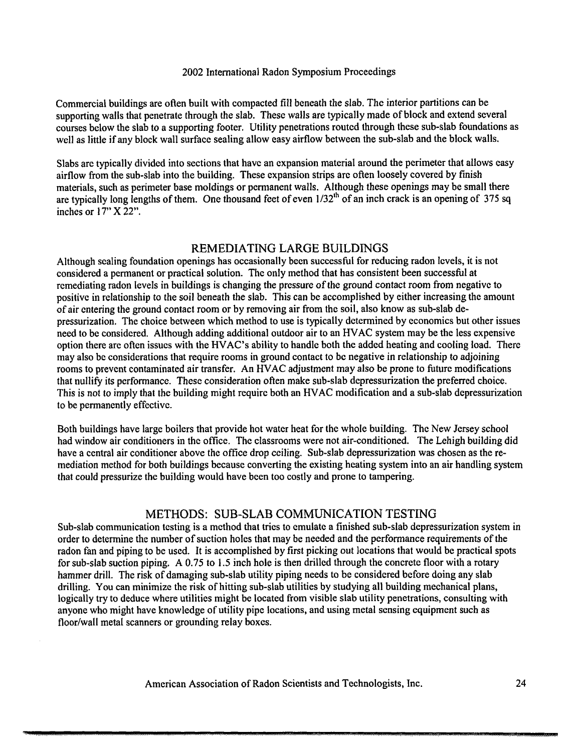Commercial buildings are often built with compacted fill beneath the slab. The interior partitions can be supporting walls that penetrate through the slab. These walls are typically made of block and extend several courses below the slab to a supporting footer. Utility penetrations routed through these sub-slab foundations as well as little if any block wall surface sealing allow easy airflow between the sub-slab and the block walls.

Slabs are typically divided into sections that have an expansion material around the perimeter that allows easy airflow from the sub-slab into the building. These expansion strips are often loosely covered **by** finish materials, such as perimeter base moldings or permanent walls. Although these openings may be small there are typically long lengths of them. One thousand feet of even  $1/32<sup>th</sup>$  of an inch crack is an opening of 375 sq inches or  $17"$  X 22".

#### REMEDIATING LARGE BUILDINGS

Although sealing foundation openings has occasionally been successful for reducing radon levels, it is not considered a permanent or practical solution. The only method that has consistent been successful at remediating radon levels in buildings is changing the pressure of the ground contact room from negative to positive in relationship to the soil beneath the slab. This can be accomplished by either increasing the amount of air entering the ground contact room or by removing air from the soil, also know as sub-slab depressurization. The choice between which method to use is typically determined by economics but other issues need to be considered. Although adding additional outdoor air to an HVAC system may be the less expensive option there are often issues with the HVAC's ability to handle both the added heating and cooling load. There may also be considerations that require rooms in ground contact to be negative in relationship to adjoining rooms to prevent contaminated air transfer. An HVAC adjustment may also be prone to future modifications that nullify its performance. These consideration often make sub-slab depressurization the preferred choice. This is not to imply that the building might require both an HVAC modification and a sub-slab depressurization to be permanently effective.

Both buildings have large boilers that provide hot water heat for the whole building. The New Jersey school had window air conditioners in the office. The classrooms were not air-conditioned. The Lehigh building did have a central air conditioner above the office drop ceiling. Sub-slab depressurization was chosen as the remediation method for both buildings because converting the existing heating system into an air handling system that could pressurize the building would have been too costly and prone to tampering.

### METHODS: SUB-SLAB COMMUNICATION TESTING

Sub-slab communication testing is a method that tries to emulate a finished sub-slab depressurization system in order to determine the number of suction holes that may be needed and the performance requirements of the radon fan and piping to be used. It is accomplished **by** first picking out locations that would be practical spots for sub-slab suction piping. A 0.75 to 1.5 inch hole is then drilled through the concrete floor with a rotary hammer drill. The risk of damaging sub-slab utility piping needs to be considered before doing any slab drilling. You can minimize the risk of hitting sub-slab utilities by studying all building mechanical plans, logically try to deduce where utilities might be located from visible slab utility penetrations, consulting with anyone who might have knowledge of utility pipe locations, and using metal sensing equipment such as floor/wall metal scanners or grounding relay boxes.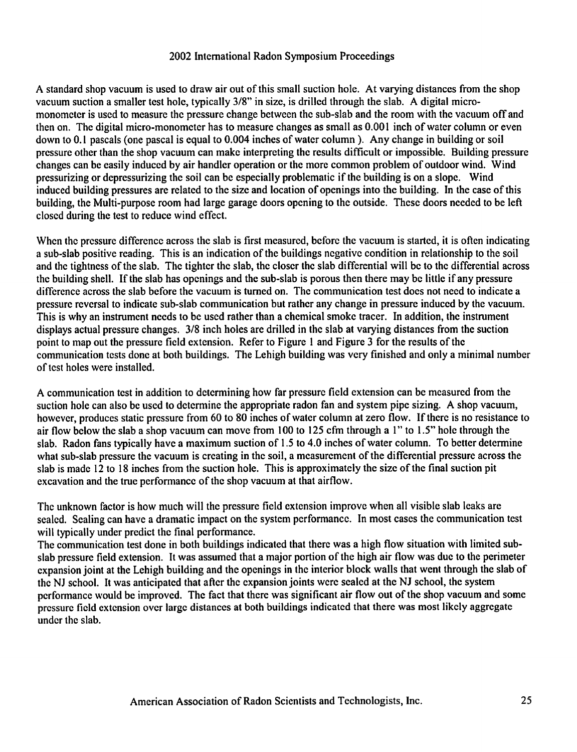A standard shop vacuum is used to draw air out of this small suction hole. At varying distances from the shop vacuum suction a smaller test hole, typically **318"** in size, is drilled through the slab. A digital micromonomctcr is used to measure the pressure change between the sub-slab and the room with the vacuum off and then on. The digital micro-monomcter has to measure changes as small as 0.001 inch of water column or even down to 0.1 pascals (one pascal is equal to 0.004 inches of water column ). Any change in building or soil pressure other than the shop vacuum can make interpreting the results difficult or impossible. Building pressure changes can be easily induced by air handler operation or the more common problem of outdoor wind. Wind pressurizing or depressurizing the soil can be especially problematic if the building is on a slope. Wind induced building pressures are related to the size and location of openings into the building. In the case of this building, the Multi-purpose room had large garage doors opening to the outside. These doors needed to be left closed during the test to reduce wind effect.

When the pressure difference across the slab is first measured, before the vacuum is started, it is often indicating a sub-slab positive reading. This is an indication of the buildings negative condition in relationship to the soil and the tightness of the slab. The tighter the slab, the closer the slab differential will be to the differential across the building shell. If the slab has openings and the sub-slab is porous then there may be little if any pressure difference across the slab before the vacuum is turned on. The communication test does not need to indicate a pressure reversal to indicate sub-slab communication but rather any change in pressure induced by the vacuum. This is why an instrument needs to be used rather than a chemical smoke tracer. In addition, the instrument displays actual pressure changes. **318** inch holes are drilled in the slab at varying distances from the suction point to map out the pressure field extension. Refer to Figure 1 and Figure **3** for the results of the communication tests done at both buildings. The Lehigh building was very finished and only a minimal number of test holes were installed.

A communication test in addition to determining how far pressurc field extension can be measured from the suction hole can also be used to determine the appropriate radon fan and system pipe sizing. A shop vacuum, however, produces static pressure from 60 to 80 inches of water column at zero flow. If there is no resistance to air flow below the slab a shop vacuum can move from 100 to 125 cfm through a **1"** to 1.5" hole through the slab. Radon fans typically have a maximum suction of 1.5 to 4.0 inches of water column. To better determine what sub-slab pressure the vacuum is creating in the soil, a measurement of the differential pressure across the slab is made **12** to **18** inches from the suction hole. This is approximately the size of the final suction pit excavation and the true performance of the shop vacuum at that airflow.

The unknown factor is how much will the pressure field extension improve when all visible slab leaks are sealed. Sealing can have a dramatic impact on the system performance. In most cases the communication test will typically under predict the final performance.

The communication test done in both buildings indicated that there was a high flow situation with limited subslab pressure field extension. It was assumed that a major portion of the high air flow was due to the perimeter expansion joint at the Lehigh building and the openings in the interior block walls that went through the slab of the NJ school. It was anticipated that after the expansion joints were sealed at the NJ school, the system pcrformance would be improved. The fact that there was significant air flow out of the shop vacuum and some pressure field extension over large distances at both buildings indicated that there was most likely aggregate under the slab.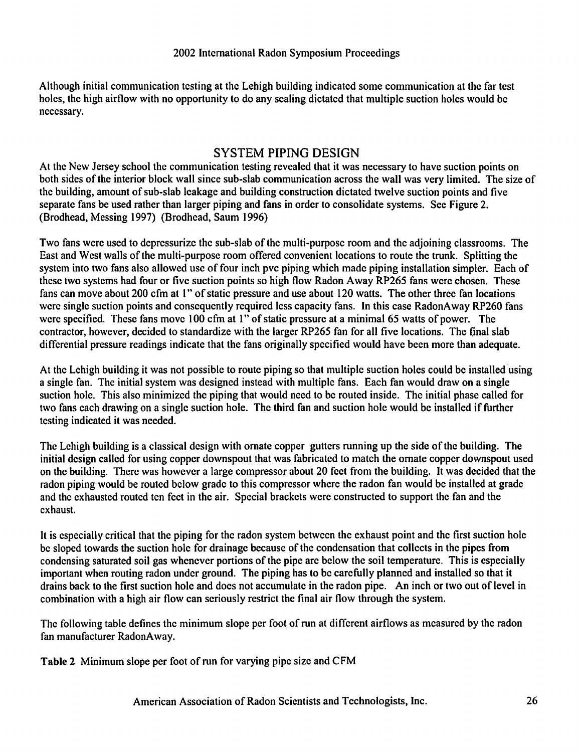Although initial communication testing at the Lehigh building indicated some communication at the far test holes, the high airflow with no opportunity to do any sealing dictated that multiple suction holes would be necessary.

## SYSTEM PIPING DESIGN

At the New Jersey school the communication testing revealed that it was necessary to have suction points on both sides of the interior block wall since sub-slab communication across the wall was very limited. The size of the building, amount of sub-slab leakage and building construction dictated twelve suction points and five separate fans be used rather than larger piping and fans in order to consolidate systems. See Figure 2. (Brodhead, Messing 1997) (Brodhead, Saum 1996)

Two fans were used to depressurize the sub-slab of the multi-purpose room and the adjoining classrooms. The East and West walls of the multi-purpose room offered convenient locations to route the trunk. Splitting the system into two fans also allowed use of four inch pvc piping which made piping installation simpler. Each of these two systems had four or five suction points so high flow Radon Away RP265 fans were chosen. These fans can move about 200 cfm at 1" of static pressure and use about 120 watts. The other three fan locations were single suction points and consequently required less capacity fans. In this case RadonAway RP260 fans were specified. These fans move 100 cfm at 1" of static pressure at a minimal 65 watts of power. The contractor, however, decided to standardize with the larger RP265 fan for all five locations. The final slab differential pressure readings indicate that the fans originally specified would have been more than adequate.

At the Lehigh building it was not possible to route piping so that multiple suction holes could be installedusing a single fan. The initial system was designed instead with multiple fans. Each fan would draw on a single suction hole. This also minimized the piping that would need to be routed inside. The initial phase called for two fans each drawing on a single suction hole. The third fan and suction hole would be installed if further testing indicated it was needed.

The Lehigh building is a classical design with ornate copper gutters running up the side of the building. The initial design called for using copper downspout that was fabricated to match the ornate copper downspout used on the building. There was however a large compressor about 20 feet from the building. It was decided that the radon piping would be routed below grade to this compressor where the radon fan would be installed at grade and the exhausted routed ten feet in the air. Special brackets were constructed to support the fan and the exhaust.

It is especially critical that the piping for the radon system between the exhaust point and the first suction hole be sloped towards the suction hole for drainage because of the condensation that collects in the pipes from condensing saturated soil gas whenever portions of the pipe are below the soil temperature. This is especially important when routing radon under ground. The piping has to be carefully planned and installed so that it drains back to the first suction hole and does not accumulate in the radon pipe. An inch or two out of level in combination with a high air flow can seriously restrict the final air flow through the system.

The following table defines the minimum slope per foot of run at different airflows as measured by the radon fan manufacturer RadonAway.

Table 2 Minimum slope per foot of run for varying pipe size and **CFM**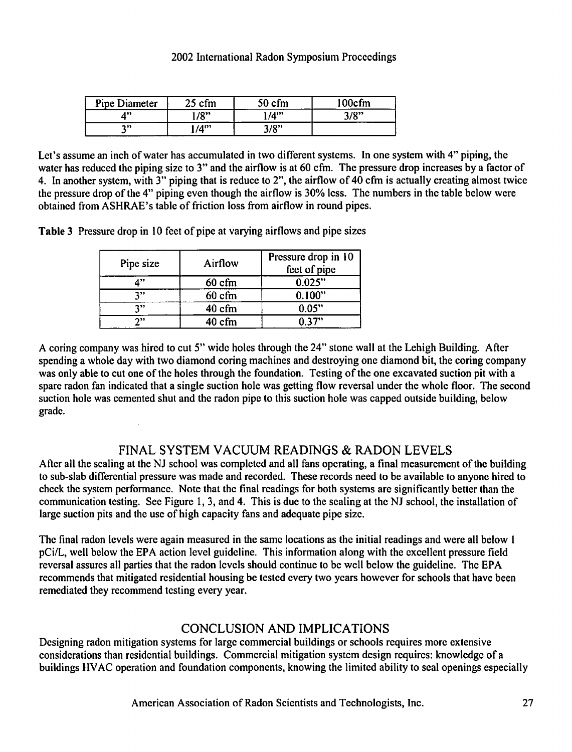| <b>Pipe Diameter</b> | $\sim$ $\sim$<br>cfm | cfm<br>50           | 100cfm |
|----------------------|----------------------|---------------------|--------|
| 499                  | 10<br>110            | $14$ "              | 3/8"   |
| ግ ነን                 | $14$ <sup>199</sup>  | <b>2/0"</b><br>ە بر |        |

Let's assume an inch of water has accumulated in two different systems. In one system with 4" piping, the water has reduced the piping size to 3" and the airflow is at 60 cfm. The pressure drop increases by a factor of 4. In another system, with 3" piping that is reduce to 2", the airflow of 40 cfm is actually creating almost twice the pressure drop of the 4" piping even though the airflow is 30% less. The numbers in the table below were obtained from ASHRAE's table of friction loss from airflow in round pipes.

Table 3 Pressure drop in 10 feet of pipe at varying airflows and pipe sizes

| Pipe size  | Airflow         | Pressure drop in 10<br>feet of pipe |
|------------|-----------------|-------------------------------------|
| A"         | $60 \text{ cm}$ | 0.025"                              |
| 7"         | $60$ cfm        | 0.100"                              |
| 7"         | 40 cfm          | 0.05"                               |
| <b>n</b> , | 40 cfm          | በ 37"                               |

A coring company was hired to cut 5" wide holes through the 24" stone wall at the Lehigh Building. After spending a whole day with two diamond coring machines and destroying one diamond bit, the coring company was only able to cut one of the holes through the foundation. Testing of the one excavated suction pit with a spare radon fan indicated that a single suction hole was getting flow reversal under the whole floor. The second suction hole was cemented shut and the radon pipe to this suction hole was capped outside building, below grade.

# FINAL SYSTEM VACUUM READINGS & RADON LEVELS

After all the sealing at the NJ school was completed and all fans operating, a final measurement of the building to sub-slab differential pressure was made and recorded. These records need to be available to anyone hired to check the system performance. Note that the final readings for both systems are significantly better than the communication testing. See Figure 1, 3, and 4. This is due to the sealing at the NJ school, the installation of large suction pits and the use of high capacity fans and adequate pipe size.

The final radon levels were again measured in the same locations as the initial readings and were all below 1 pCi/L, well below the EPA action level guideline. This information along with the excellent pressure field reversal assures all parties that the radon levels should continue to be well below the guideline. The EPA recommends that mitigated residential housing be tested every two years however for schools that have been remediated they recommend testing every year.

# CONCLUSION AND IMPLICATIONS

Designing radon mitigation systems for large commercial buildings or schools requires more extensive considerations than residential buildings. Commercial mitigation system design requires: knowledge of a buildings HVAC operation and foundation components, knowing the limited ability to seal openings especially

American Association of Radon Scientists and Technologists, Inc. 27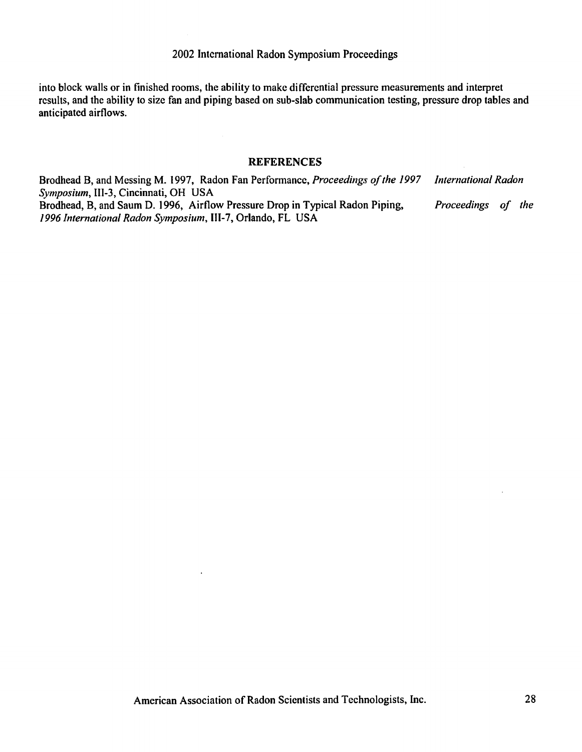into block walls or in finished rooms, the ability to make differential pressure measurements and interpret results, and the ability to size fan and piping based on sub-slab communication testing, pressure drop tables and anticipated airflows.

#### **REFERENCES**

Brodhead B, and Messing M. 1997, Radon Fan Performance, *Proceedings of the 1997 International Radon Symposium,* 111-3, Cincinnati, *OH* USA Brodhead, B, and Saum D. 1996, Airflow Pressure Drop in Typical Radon Piping, *Proceedings of the 1996 International Radon Symposium,* **111-7,** Orlando, *FL* USA

 $\ddot{\phantom{1}}$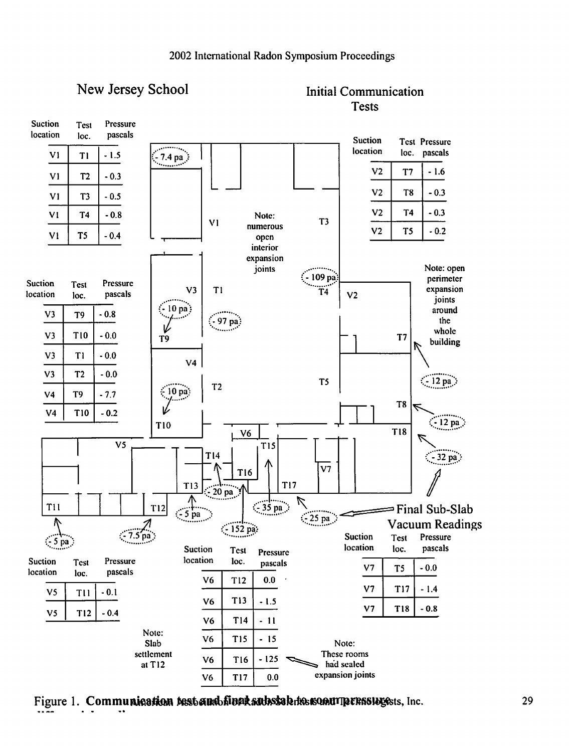



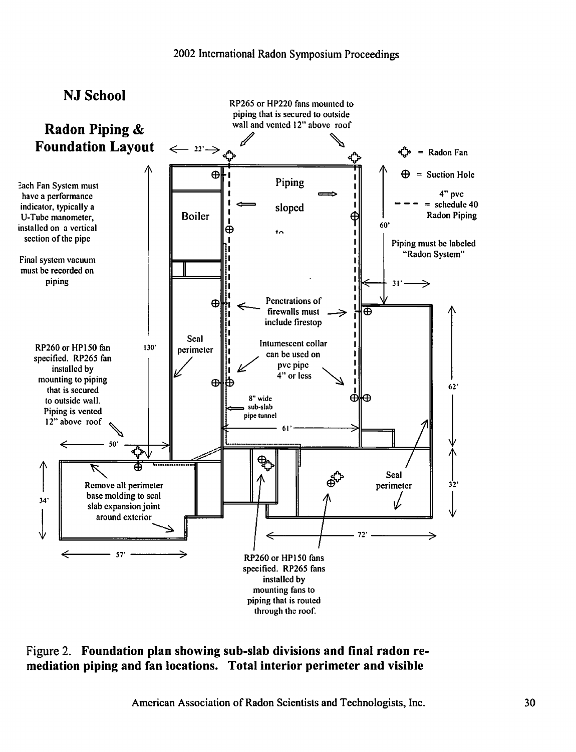

## **Figure 2. Foundation plan showing sub-slab divisions and final radon remediation piping and fan locations. Total interior perimeter and visible**

American Association of Radon Scientists and Technologists, Inc.